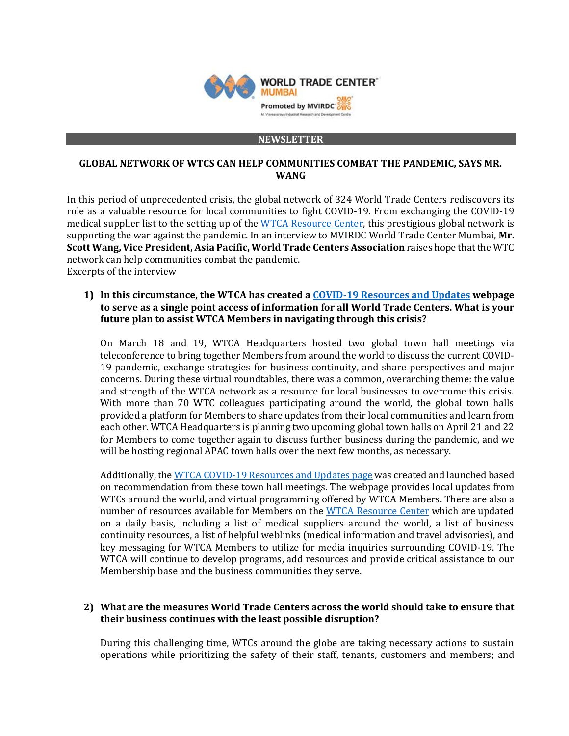

#### **NEWSLETTER**

### **GLOBAL NETWORK OF WTCS CAN HELP COMMUNITIES COMBAT THE PANDEMIC, SAYS MR. WANG**

In this period of unprecedented crisis, the global network of 324 World Trade Centers rediscovers its role as a valuable resource for local communities to fight COVID-19. From exchanging the COVID-19 medical supplier list to the setting up of th[e WTCA Resource Center,](https://www.wtca.org/dashboard/resource_categories) this prestigious global network is supporting the war against the pandemic. In an interview to MVIRDC World Trade Center Mumbai, **Mr. Scott Wang, Vice President, Asia Pacific, World Trade Centers Association** raises hope that the WTC network can help communities combat the pandemic. Excerpts of the interview

### **1) In this circumstance, the WTCA has created [a COVID-19 Resources and Updates](https://www.wtca.org/covid19) webpage to serve as a single point access of information for all World Trade Centers. What is your future plan to assist WTCA Members in navigating through this crisis?**

On March 18 and 19, WTCA Headquarters hosted two global town hall meetings via teleconference to bring together Members from around the world to discuss the current COVID-19 pandemic, exchange strategies for business continuity, and share perspectives and major concerns. During these virtual roundtables, there was a common, overarching theme: the value and strength of the WTCA network as a resource for local businesses to overcome this crisis. With more than 70 WTC colleagues participating around the world, the global town halls provided a platform for Members to share updates from their local communities and learn from each other. WTCA Headquarters is planning two upcoming global town halls on April 21 and 22 for Members to come together again to discuss further business during the pandemic, and we will be hosting regional APAC town halls over the next few months, as necessary.

Additionally, th[e WTCA COVID-19 Resources and Updates page](https://www.wtca.org/covid19) was created and launched based on recommendation from these town hall meetings. The webpage provides local updates from WTCs around the world, and virtual programming offered by WTCA Members. There are also a number of resources available for Members on the [WTCA Resource Center](https://www.wtca.org/dashboard/resource_categories) which are updated on a daily basis, including a list of medical suppliers around the world, a list of business continuity resources, a list of helpful weblinks (medical information and travel advisories), and key messaging for WTCA Members to utilize for media inquiries surrounding COVID-19. The WTCA will continue to develop programs, add resources and provide critical assistance to our Membership base and the business communities they serve.

## **2) What are the measures World Trade Centers across the world should take to ensure that their business continues with the least possible disruption?**

During this challenging time, WTCs around the globe are taking necessary actions to sustain operations while prioritizing the safety of their staff, tenants, customers and members; and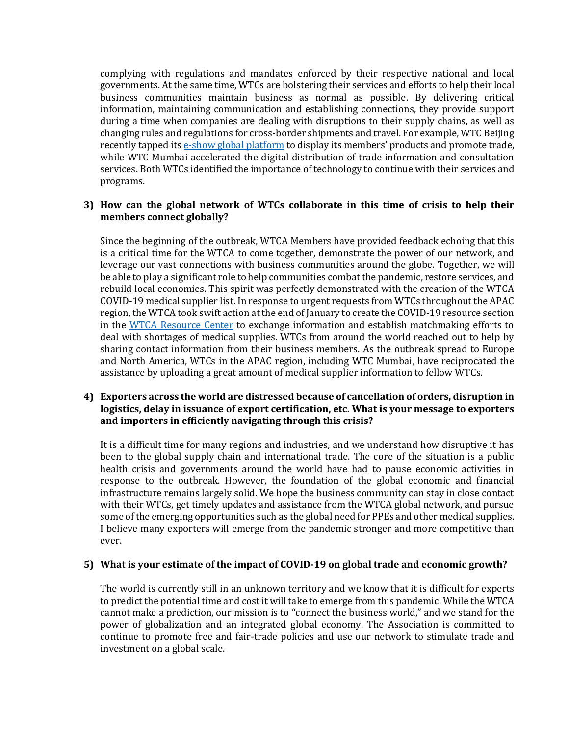complying with regulations and mandates enforced by their respective national and local governments. At the same time, WTCs are bolstering their services and efforts to help their local business communities maintain business as normal as possible. By delivering critical information, maintaining communication and establishing connections, they provide support during a time when companies are dealing with disruptions to their supply chains, as well as changing rules and regulations for cross-border shipments and travel. For example, WTC Beijing recently tapped it[s e-show global platform](http://eshowglobal.com/index.php) to display its members' products and promote trade, while WTC Mumbai accelerated the digital distribution of trade information and consultation services. Both WTCs identified the importance of technology to continue with their services and programs.

### **3) How can the global network of WTCs collaborate in this time of crisis to help their members connect globally?**

Since the beginning of the outbreak, WTCA Members have provided feedback echoing that this is a critical time for the WTCA to come together, demonstrate the power of our network, and leverage our vast connections with business communities around the globe. Together, we will be able to play a significant role to help communities combat the pandemic, restore services, and rebuild local economies. This spirit was perfectly demonstrated with the creation of the WTCA COVID-19 medical supplier list. In response to urgent requests from WTCs throughout the APAC region, the WTCA took swift action at the end of January to create the COVID-19 resource section in the [WTCA Resource Center](https://www.wtca.org/dashboard/resource_categories) to exchange information and establish matchmaking efforts to deal with shortages of medical supplies. WTCs from around the world reached out to help by sharing contact information from their business members. As the outbreak spread to Europe and North America, WTCs in the APAC region, including WTC Mumbai, have reciprocated the assistance by uploading a great amount of medical supplier information to fellow WTCs.

## **4) Exporters across the world are distressed because of cancellation of orders, disruption in logistics, delay in issuance of export certification, etc. What is your message to exporters and importers in efficiently navigating through this crisis?**

It is a difficult time for many regions and industries, and we understand how disruptive it has been to the global supply chain and international trade. The core of the situation is a public health crisis and governments around the world have had to pause economic activities in response to the outbreak. However, the foundation of the global economic and financial infrastructure remains largely solid. We hope the business community can stay in close contact with their WTCs, get timely updates and assistance from the WTCA global network, and pursue some of the emerging opportunities such as the global need for PPEs and other medical supplies. I believe many exporters will emerge from the pandemic stronger and more competitive than ever.

#### **5) What is your estimate of the impact of COVID-19 on global trade and economic growth?**

The world is currently still in an unknown territory and we know that it is difficult for experts to predict the potential time and cost it will take to emerge from this pandemic. While the WTCA cannot make a prediction, our mission is to "connect the business world," and we stand for the power of globalization and an integrated global economy. The Association is committed to continue to promote free and fair-trade policies and use our network to stimulate trade and investment on a global scale.